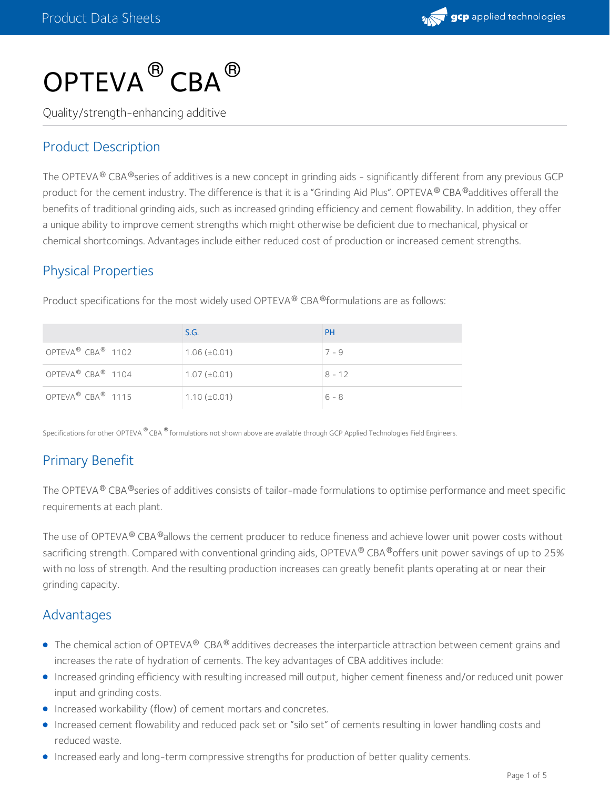

# $\mathsf{OPTEVA}^{\circledR}\mathsf{CBA}^{\circledR}$

Quality/strength-enhancing additive

## Product Description

The OPTEVA® CBA®series of additives is a new concept in grinding aids - significantly different from any previous GCP product for the cement industry. The difference is that it is a "Grinding Aid Plus". OPTEVA® CBA®additives offerall the benefits of traditional grinding aids, such as increased grinding efficiency and cement flowability. In addition, they offer a unique ability to improve cement strengths which might otherwise be deficient due to mechanical, physical or chemical shortcomings. Advantages include either reduced cost of production or increased cement strengths.

## Physical Properties

|                                           | S.G.              | <b>PH</b> |
|-------------------------------------------|-------------------|-----------|
| OPTEVA <sup>®</sup> CBA <sup>®</sup> 1102 | $1.06 (\pm 0.01)$ | $7 - 9$   |
| OPTEVA <sup>®</sup> CBA <sup>®</sup> 1104 | $1.07 (\pm 0.01)$ | $8 - 12$  |
| OPTEVA <sup>®</sup> CBA <sup>®</sup> 1115 | $1.10 (\pm 0.01)$ | $6 - 8$   |

Product specifications for the most widely used OPTEVA® CBA®formulations are as follows:

Specifications for other OPTEVA <sup>®</sup> CBA ® formulations not shown above are available through GCP Applied Technologies Field Engineers.

## Primary Benefit

The OPTEVA® CBA®series of additives consists of tailor-made formulations to optimise performance and meet specific requirements at each plant.

The use of OPTEVA® CBA®allows the cement producer to reduce fineness and achieve lower unit power costs without sacrificing strength. Compared with conventional grinding aids, OPTEVA® CBA®offers unit power savings of up to 25% with no loss of strength. And the resulting production increases can greatly benefit plants operating at or near their grinding capacity.

### Advantages

- The chemical action of OPTEVA®  $\sf{CBA^@}$  additives decreases the interparticle attraction between cement grains and increases the rate of hydration of cements. The key advantages of CBA additives include:
- Increased grinding efficiency with resulting increased mill output, higher cement fineness and/or reduced unit power input and grinding costs.
- Increased workability (flow) of cement mortars and concretes.
- Increased cement flowability and reduced pack set or "silo set" of cements resulting in lower handling costs and reduced waste.
- Increased early and long-term compressive strengths for production of better quality cements.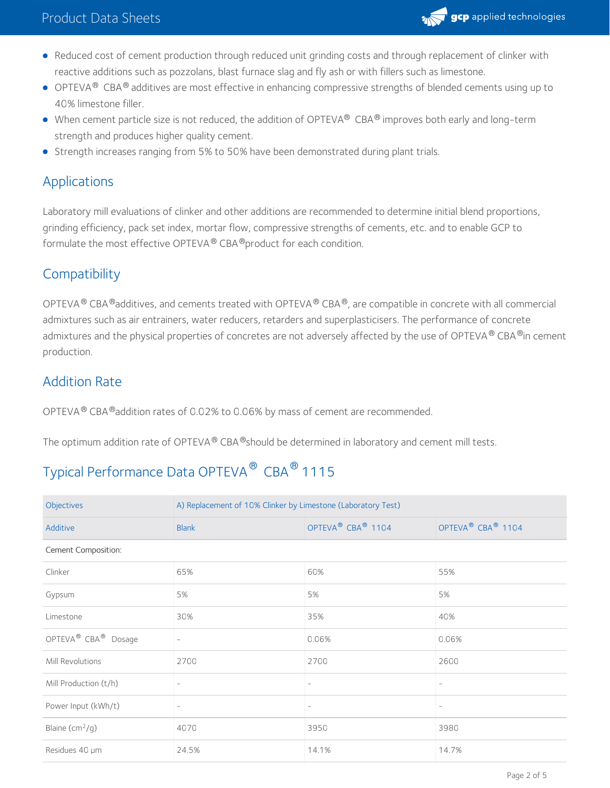

- Reduced cost of cement production through reduced unit grinding costs and through replacement of clinker with reactive additions such as pozzolans, blast furnace slag and fly ash or with fillers such as limestone.
- OPTEVA $^\circledR$  CBA $^\circledR$  additives are most effective in enhancing compressive strengths of blended cements using up to 40% limestone filler.
- When cement particle size is not reduced, the addition of OPTEVA® CBA® improves both early and long-term strength and produces higher quality cement.
- **Strength increases ranging from 5% to 50% have been demonstrated during plant trials.**

## Applications

Laboratory mill evaluations of clinker and other additions are recommended to determine initial blend proportions, grinding efficiency, pack set index, mortar flow, compressive strengths of cements, etc. and to enable GCP to formulate the most effective OPTEVA ® CBA ®product for each condition.

## **Compatibility**

OPTEVA  $^\circledR$  CBA  $^\circledR$ additives, and cements treated with OPTEVA  $^\circledR$  CBA  $^\circledR$ , are compatible in concrete with all commercial admixtures such as air entrainers, water reducers, retarders and superplasticisers. The performance of concrete admixtures and the physical properties of concretes are not adversely affected by the use of OPTEVA® CBA®in cement production.

## Addition Rate

OPTEVA  $^{\circledR}$  CBA  $^{\circledR}$ addition rates of 0.02% to 0.06% by mass of cement are recommended.

The optimum addition rate of OPTEVA® CBA®should be determined in laboratory and cement mill tests.

# Typical Performance Data OPTEVA  $^\circledR$  CBA  $^\circledR$  1115

| Objectives                                  | A) Replacement of 10% Clinker by Limestone (Laboratory Test) |                                           |                                           |  |
|---------------------------------------------|--------------------------------------------------------------|-------------------------------------------|-------------------------------------------|--|
| Additive                                    | <b>Blank</b>                                                 | OPTEVA <sup>®</sup> CBA <sup>®</sup> 1104 | OPTEVA <sup>®</sup> CBA <sup>®</sup> 1104 |  |
| Cement Composition:                         |                                                              |                                           |                                           |  |
| Clinker                                     | 65%                                                          | 60%                                       | 55%                                       |  |
| Gypsum                                      | 5%                                                           | 5%                                        | 5%                                        |  |
| Limestone                                   | 30%                                                          | 35%                                       | 40%                                       |  |
| OPTEVA <sup>®</sup> CBA <sup>®</sup> Dosage | $\overline{\phantom{a}}$                                     | 0.06%                                     | 0.06%                                     |  |
| Mill Revolutions                            | 2700                                                         | 2700                                      | 2600                                      |  |
| Mill Production (t/h)                       | $\overline{\phantom{a}}$                                     | -                                         |                                           |  |
| Power Input (kWh/t)                         | $\overline{\phantom{a}}$                                     | $\overline{\phantom{0}}$                  | $\overline{\phantom{a}}$                  |  |
| Blaine $(cm^2/g)$                           | 4070                                                         | 3950                                      | 3980                                      |  |
| Residues 40 µm                              | 24.5%                                                        | 14.1%                                     | 14.7%                                     |  |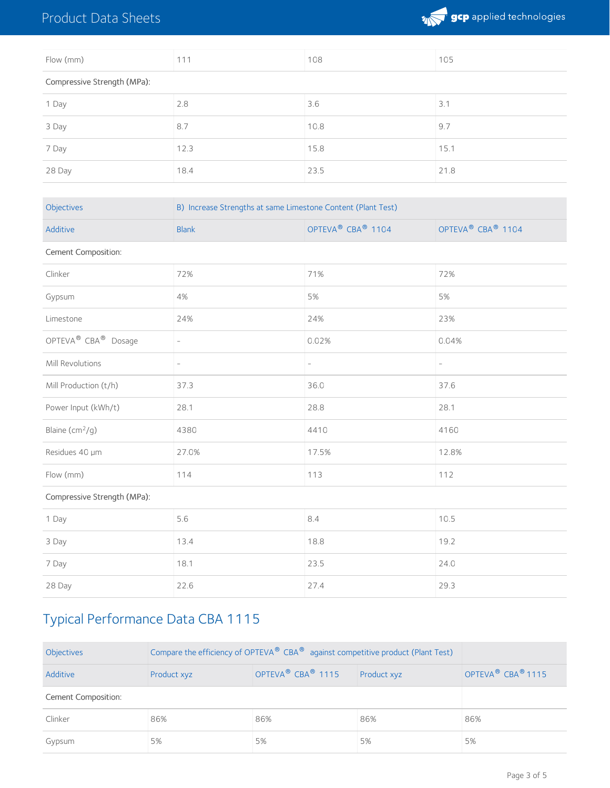## Product Data Sheets



| Flow (mm)                   | 111  | 108  | 105  |
|-----------------------------|------|------|------|
| Compressive Strength (MPa): |      |      |      |
| 1 Day                       | 2.8  | 3.6  | 3.1  |
| 3 Day                       | 8.7  | 10.8 | 9.7  |
| 7 Day                       | 12.3 | 15.8 | 15.1 |
| 28 Day                      | 18.4 | 23.5 | 21.8 |

| Objectives                                  | B) Increase Strengths at same Limestone Content (Plant Test) |                                           |                                           |  |  |
|---------------------------------------------|--------------------------------------------------------------|-------------------------------------------|-------------------------------------------|--|--|
| Additive                                    | <b>Blank</b>                                                 | OPTEVA <sup>®</sup> CBA <sup>®</sup> 1104 | OPTEVA <sup>®</sup> CBA <sup>®</sup> 1104 |  |  |
| Cement Composition:                         |                                                              |                                           |                                           |  |  |
| Clinker                                     | 72%                                                          | 71%<br>72%                                |                                           |  |  |
| Gypsum                                      | 4%                                                           | 5%                                        | 5%                                        |  |  |
| Limestone                                   | 24%                                                          | 24%                                       | 23%                                       |  |  |
| OPTEVA <sup>®</sup> CBA <sup>®</sup> Dosage | $\overline{\phantom{a}}$                                     | 0.02%                                     | 0.04%                                     |  |  |
| Mill Revolutions                            | $\sim$                                                       | $\overline{\phantom{a}}$                  | $\overline{\phantom{a}}$                  |  |  |
| Mill Production (t/h)                       | 37.3                                                         | 36.0                                      | 37.6                                      |  |  |
| Power Input (kWh/t)                         | 28.1                                                         | 28.8                                      | 28.1                                      |  |  |
| Blaine $(cm^2/g)$                           | 4380                                                         | 4410                                      | 4160                                      |  |  |
| Residues 40 µm                              | 27.0%                                                        | 17.5%                                     | 12.8%                                     |  |  |
| Flow (mm)                                   | 114                                                          | 113<br>112                                |                                           |  |  |
| Compressive Strength (MPa):                 |                                                              |                                           |                                           |  |  |
| 1 Day                                       | 5.6                                                          | 8.4                                       | 10.5                                      |  |  |
| 3 Day                                       | 13.4                                                         | 18.8                                      | 19.2                                      |  |  |
| 7 Day                                       | 18.1                                                         | 23.5                                      | 24.0                                      |  |  |
| 28 Day                                      | 22.6                                                         | 27.4                                      | 29.3                                      |  |  |

# Typical Performance Data CBA 1115

| Objectives          | Compare the efficiency of OPTEVA <sup>®</sup> CBA <sup>®</sup> against competitive product (Plant Test) |     |     |                                           |
|---------------------|---------------------------------------------------------------------------------------------------------|-----|-----|-------------------------------------------|
| Additive            | OPTEVA <sup>®</sup> CBA <sup>®</sup> 1115<br>Product xyz<br>Product xyz                                 |     |     | OPTEVA <sup>®</sup> CBA <sup>®</sup> 1115 |
| Cement Composition: |                                                                                                         |     |     |                                           |
| Clinker             | 86%                                                                                                     | 86% | 86% | 86%                                       |
| Gypsum              | 5%                                                                                                      | 5%  | 5%  | 5%                                        |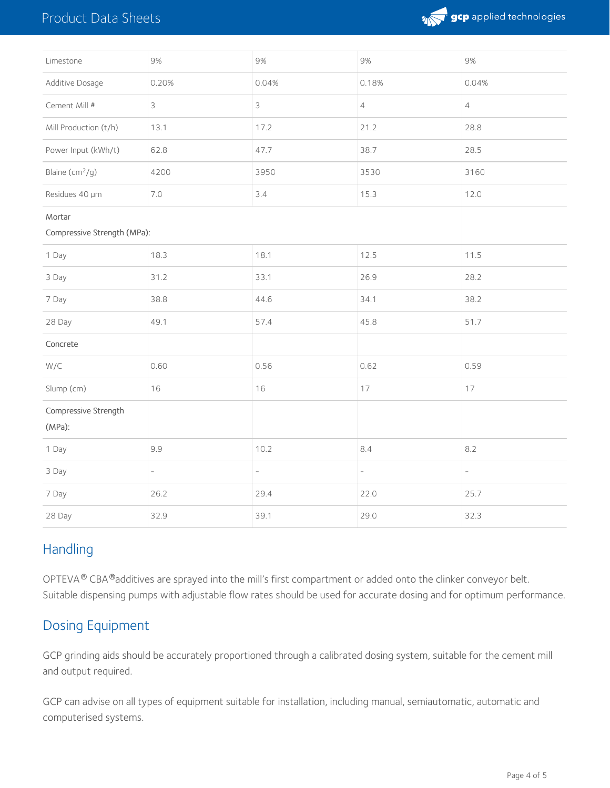## Product Data Sheets



| Limestone                             | 9%                       | 9%                       | 9%                       | 9%                       |
|---------------------------------------|--------------------------|--------------------------|--------------------------|--------------------------|
| Additive Dosage                       | 0.20%                    | 0.04%                    | 0.18%                    | 0.04%                    |
| Cement Mill #                         | $\mathcal{S}$            | $\mathfrak{Z}$           | $\overline{4}$           | $\overline{4}$           |
| Mill Production (t/h)                 | 13.1                     | 17.2                     | 21.2                     | 28.8                     |
| Power Input (kWh/t)                   | 62.8                     | 47.7                     | 38.7                     | 28.5                     |
| Blaine (cm <sup>2</sup> /g)           | 4200                     | 3950                     | 3530                     | 3160                     |
| Residues 40 µm                        | 7.0                      | 3.4                      | 15.3                     | 12.0                     |
| Mortar<br>Compressive Strength (MPa): |                          |                          |                          |                          |
| 1 Day                                 | 18.3                     | 18.1                     | 12.5                     | 11.5                     |
| 3 Day                                 | 31.2                     | 33.1                     | 26.9                     | 28.2                     |
| 7 Day                                 | 38.8                     | 44.6                     | 34.1                     | 38.2                     |
| 28 Day                                | 49.1                     | 57.4                     | 45.8                     | 51.7                     |
| Concrete                              |                          |                          |                          |                          |
| W/C                                   | 0.60                     | 0.56                     | 0.62                     | 0.59                     |
| Slump (cm)                            | 16                       | 16                       | 17                       | 17                       |
| Compressive Strength<br>$(MPa)$ :     |                          |                          |                          |                          |
| 1 Day                                 | 9.9                      | 10.2                     | 8.4                      | 8.2                      |
| 3 Day                                 | $\overline{\phantom{a}}$ | $\overline{\phantom{a}}$ | $\overline{\phantom{0}}$ | $\overline{\phantom{0}}$ |
| 7 Day                                 | 26.2                     | 29.4                     | 22.0                     | 25.7                     |
| 28 Day                                | 32.9                     | 39.1                     | 29.0                     | 32.3                     |

## **Handling**

OPTEVA  $^{\circledR}$  CBA  $^{\circledR}$ additives are sprayed into the mill's first compartment or added onto the clinker conveyor belt. Suitable dispensing pumps with adjustable flow rates should be used for accurate dosing and for optimum performance.

## Dosing Equipment

GCP grinding aids should be accurately proportioned through a calibrated dosing system, suitable for the cement mill and output required.

GCP can advise on all types of equipment suitable for installation, including manual, semiautomatic, automatic and computerised systems.